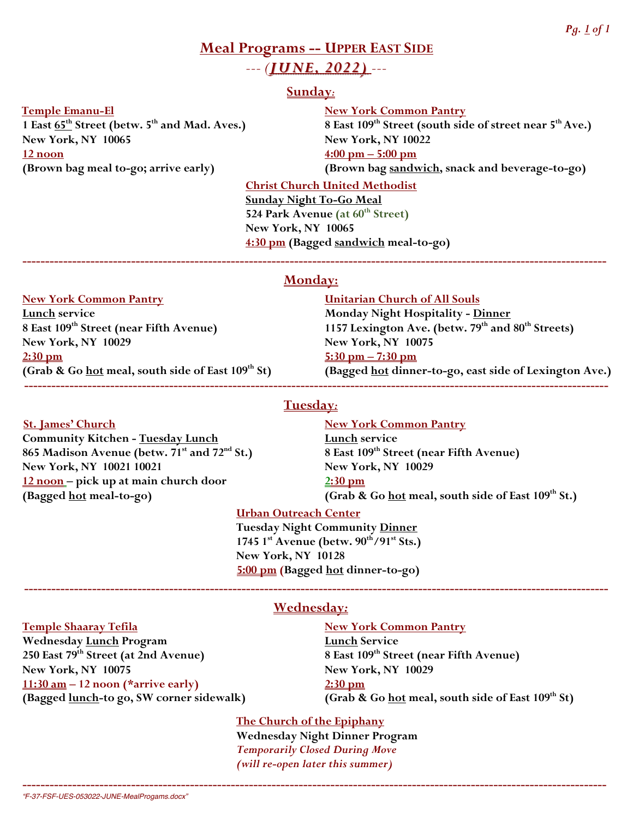# **Meal Programs -- UPPER EAST SIDE** *--- (JUNE, 2022) ---*

# **Sunday***:*

 **Temple Emanu-El New York Common Pantry New York, NY 10065 New York, NY 10022 12 noon 4:00 pm – 5:00 pm**

**1 East 65th Street (betw. 5th and Mad. Aves.) 8 East 109th Street (south side of street near 5thAve.) (Brown bag meal to-go; arrive early) (Brown bag sandwich, snack and beverage-to-go)**

> **Christ Church United Methodist Sunday Night To-Go Meal 524 Park Avenue (at 60th Street) New York, NY 10065 4:30 pm (Bagged sandwich meal-to-go)**

# **Monday:**

**---------------------------------------------------------------------------------------------------------------------------------**

**Lunch service**<br>
8 East 109<sup>th</sup> Street (near Fifth Avenue) Monday Night Hospitality - <u>Dinner</u><br>
1157 Lexington Ave. (betw. 79<sup>th</sup> and **New York, NY 10029 New York, NY 10075 2:30 pm 5:30 pm – 7:30 pm**

**Community Kitchen - <u>Tuesday Lunch</u><br>
865 Madison Avenue (betw. 71<sup>st</sup> and 72<sup>nd</sup> St.) 8 East 109<sup>th</sup> Street (near Fifth Avenue) 865 Madison Avenue (betw. 71<sup>st</sup> and 72<sup>nd</sup> St.) New York, NY 10021 10021 New York, NY 10029 12 noon – pick up at main church door 2:30 pm**

# **New York Common Pantry Unitarian Church of All Souls**

**8 Base 1157 Lexington Ave. (betw. 79<sup>th</sup> and 80<sup>th</sup> Streets)**<br>New York, NY 10075 **(Grab & Go hot meal, south side of East 109th St) (Bagged hot dinner-to-go, east side of Lexington Ave.) ---------------------------------------------------------------------------------------------------------------------------------**

# **Tuesday***:*

**St. James' Church New York Common Pantry (Bagged hot meal-to-go) (Grab & Go hot meal, south side of East 109th St.)**

# **Urban Outreach Center**

**Tuesday Night Community Dinner 1745 1st Avenue (betw. 90th/91st Sts.) New York, NY 10128 5:00 pm (Bagged hot dinner-to-go)**

Wednesday <u>Lunch</u> Program<br>
250 East 79<sup>th</sup> Street (at 2nd Avenue) 8 East 109<sup>th</sup> Stre **New York, NY 10075 New York, NY 10029 11:30 am – 12 noon (\*arrive early) 2:30 pm**

# **Wednesday***:*

**---------------------------------------------------------------------------------------------------------------------------------**

**Temple Shaaray Tefila New York Common Pantry** 

**250 East 109<sup>th</sup> Street (near Fifth Avenue)**<br>New York, NY 10029 **(Bagged lunch-to go, SW corner sidewalk) (Grab & Go hot meal, south side of East 109th St)**

> **The Church of the Epiphany Wednesday Night Dinner Program** *Temporarily Closed During Move (will re-open later this summer)*